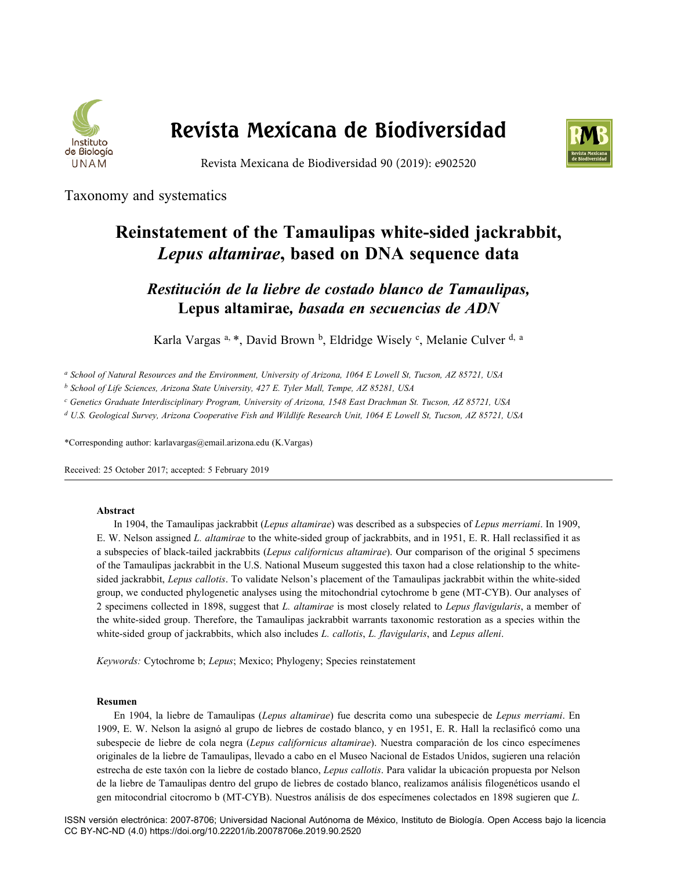

# **Revista Mexicana de Biodiversidad**



Revista Mexicana de Biodiversidad 90 (2019): e902520

Taxonomy and systematics

# **Reinstatement of the Tamaulipas white-sided jackrabbit,**  *Lepus altamirae***, based on DNA sequence data**

*Restitución de la liebre de costado blanco de Tamaulipas,*  **Lepus altamirae***, basada en secuencias de ADN*

Karla Vargas a, \*, David Brown b, Eldridge Wisely c, Melanie Culver d, a

*a School of Natural Resources and the Environment, University of Arizona, 1064 E Lowell St, Tucson, AZ 85721, USA* 

*b School of Life Sciences, Arizona State University, 427 E. Tyler Mall, Tempe, AZ 85281, USA* 

*c Genetics Graduate Interdisciplinary Program, University of Arizona, 1548 East Drachman St. Tucson, AZ 85721, USA*

*d U.S. Geological Survey, Arizona Cooperative Fish and Wildlife Research Unit, 1064 E Lowell St, Tucson, AZ 85721, USA*

\*Corresponding author: karlavargas@email.arizona.edu (K.Vargas)

Received: 25 October 2017; accepted: 5 February 2019

# **Abstract**

In 1904, the Tamaulipas jackrabbit (*Lepus altamirae*) was described as a subspecies of *Lepus merriami*. In 1909, E. W. Nelson assigned *L. altamirae* to the white-sided group of jackrabbits, and in 1951, E. R. Hall reclassified it as a subspecies of black-tailed jackrabbits (*Lepus californicus altamirae*). Our comparison of the original 5 specimens of the Tamaulipas jackrabbit in the U.S. National Museum suggested this taxon had a close relationship to the whitesided jackrabbit, *Lepus callotis*. To validate Nelson's placement of the Tamaulipas jackrabbit within the white-sided group, we conducted phylogenetic analyses using the mitochondrial cytochrome b gene (MT-CYB). Our analyses of 2 specimens collected in 1898, suggest that *L. altamirae* is most closely related to *Lepus flavigularis*, a member of the white-sided group. Therefore, the Tamaulipas jackrabbit warrants taxonomic restoration as a species within the white-sided group of jackrabbits, which also includes *L. callotis*, *L. flavigularis*, and *Lepus alleni*.

*Keywords:* Cytochrome b; *Lepus*; Mexico; Phylogeny; Species reinstatement

# **Resumen**

En 1904, la liebre de Tamaulipas (*Lepus altamirae*) fue descrita como una subespecie de *Lepus merriami*. En 1909, E. W. Nelson la asignó al grupo de liebres de costado blanco, y en 1951, E. R. Hall la reclasificó como una subespecie de liebre de cola negra (*Lepus californicus altamirae*). Nuestra comparación de los cinco especímenes originales de la liebre de Tamaulipas, llevado a cabo en el Museo Nacional de Estados Unidos, sugieren una relación estrecha de este taxón con la liebre de costado blanco, *Lepus callotis*. Para validar la ubicación propuesta por Nelson de la liebre de Tamaulipas dentro del grupo de liebres de costado blanco, realizamos análisis filogenéticos usando el gen mitocondrial citocromo b (MT-CYB). Nuestros análisis de dos especímenes colectados en 1898 sugieren que *L.*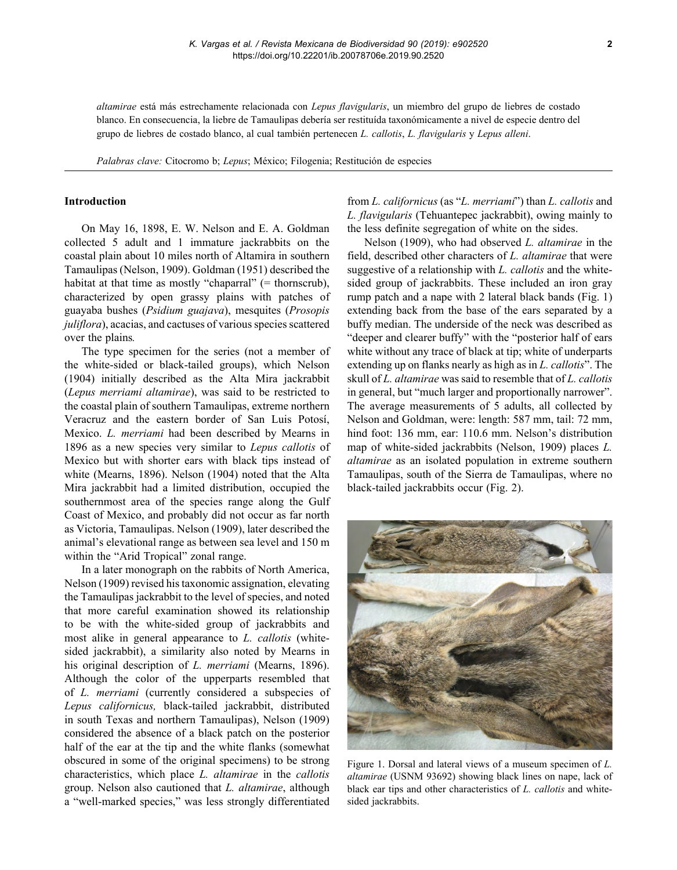*altamirae* está más estrechamente relacionada con *Lepus flavigularis*, un miembro del grupo de liebres de costado blanco. En consecuencia, la liebre de Tamaulipas debería ser restituída taxonómicamente a nivel de especie dentro del grupo de liebres de costado blanco, al cual también pertenecen *L. callotis*, *L. flavigularis* y *Lepus alleni*.

*Palabras clave:* Citocromo b; *Lepus*; México; Filogenia; Restitución de especies

## **Introduction**

On May 16, 1898, E. W. Nelson and E. A. Goldman collected 5 adult and 1 immature jackrabbits on the coastal plain about 10 miles north of Altamira in southern Tamaulipas (Nelson, 1909). Goldman (1951) described the habitat at that time as mostly "chaparral" (= thornscrub), characterized by open grassy plains with patches of guayaba bushes (*Psidium guajava*), mesquites (*Prosopis juliflora*), acacias, and cactuses of various species scattered over the plains*.*

The type specimen for the series (not a member of the white-sided or black-tailed groups), which Nelson (1904) initially described as the Alta Mira jackrabbit (*Lepus merriami altamirae*), was said to be restricted to the coastal plain of southern Tamaulipas, extreme northern Veracruz and the eastern border of San Luis Potosí, Mexico. *L. merriami* had been described by Mearns in 1896 as a new species very similar to *Lepus callotis* of Mexico but with shorter ears with black tips instead of white (Mearns, 1896). Nelson (1904) noted that the Alta Mira jackrabbit had a limited distribution, occupied the southernmost area of the species range along the Gulf Coast of Mexico, and probably did not occur as far north as Victoria, Tamaulipas. Nelson (1909), later described the animal's elevational range as between sea level and 150 m within the "Arid Tropical" zonal range.

In a later monograph on the rabbits of North America, Nelson (1909) revised his taxonomic assignation, elevating the Tamaulipas jackrabbit to the level of species, and noted that more careful examination showed its relationship to be with the white-sided group of jackrabbits and most alike in general appearance to *L. callotis* (whitesided jackrabbit), a similarity also noted by Mearns in his original description of *L. merriami* (Mearns, 1896). Although the color of the upperparts resembled that of *L. merriami* (currently considered a subspecies of *Lepus californicus,* black-tailed jackrabbit, distributed in south Texas and northern Tamaulipas), Nelson (1909) considered the absence of a black patch on the posterior half of the ear at the tip and the white flanks (somewhat obscured in some of the original specimens) to be strong characteristics, which place *L. altamirae* in the *callotis* group. Nelson also cautioned that *L. altamirae*, although a "well-marked species," was less strongly differentiated

from *L. californicus* (as "*L. merriami*") than *L. callotis* and *L. flavigularis* (Tehuantepec jackrabbit), owing mainly to the less definite segregation of white on the sides.

Nelson (1909), who had observed *L. altamirae* in the field, described other characters of *L. altamirae* that were suggestive of a relationship with *L. callotis* and the whitesided group of jackrabbits. These included an iron gray rump patch and a nape with 2 lateral black bands (Fig. 1) extending back from the base of the ears separated by a buffy median. The underside of the neck was described as "deeper and clearer buffy" with the "posterior half of ears white without any trace of black at tip; white of underparts extending up on flanks nearly as high as in *L. callotis*". The skull of *L. altamirae* was said to resemble that of *L. callotis* in general, but "much larger and proportionally narrower". The average measurements of 5 adults, all collected by Nelson and Goldman, were: length: 587 mm, tail: 72 mm, hind foot: 136 mm, ear: 110.6 mm. Nelson's distribution map of white-sided jackrabbits (Nelson, 1909) places *L. altamirae* as an isolated population in extreme southern Tamaulipas, south of the Sierra de Tamaulipas, where no black-tailed jackrabbits occur (Fig. 2).



Figure 1. Dorsal and lateral views of a museum specimen of *L. altamirae* (USNM 93692) showing black lines on nape, lack of black ear tips and other characteristics of *L. callotis* and whitesided jackrabbits.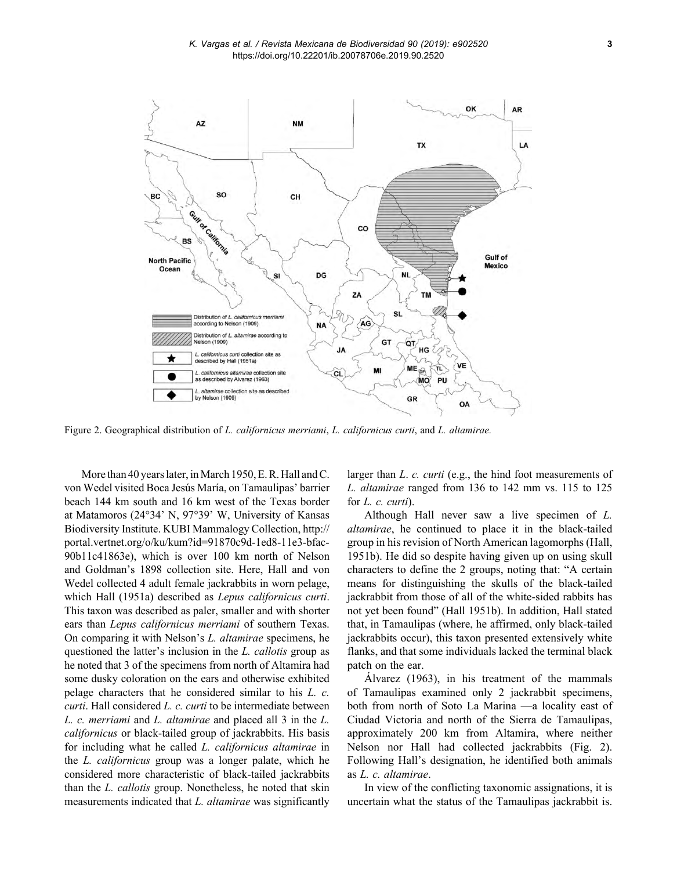

Figure 2. Geographical distribution of *L. californicus merriami*, *L. californicus curti*, and *L. altamirae.* 

More than 40 years later, in March 1950, E. R. Hall and C. von Wedel visited Boca Jesús María, on Tamaulipas' barrier beach 144 km south and 16 km west of the Texas border at Matamoros (24°34' N, 97°39' W, University of Kansas Biodiversity Institute. KUBI Mammalogy Collection, http:// portal.vertnet.org/o/ku/kum?id=91870c9d-1ed8-11e3-bfac-90b11c41863e), which is over 100 km north of Nelson and Goldman's 1898 collection site. Here, Hall and von Wedel collected 4 adult female jackrabbits in worn pelage, which Hall (1951a) described as *Lepus californicus curti*. This taxon was described as paler, smaller and with shorter ears than *Lepus californicus merriami* of southern Texas. On comparing it with Nelson's *L. altamirae* specimens, he questioned the latter's inclusion in the *L. callotis* group as he noted that 3 of the specimens from north of Altamira had some dusky coloration on the ears and otherwise exhibited pelage characters that he considered similar to his *L. c. curti*. Hall considered *L. c. curti* to be intermediate between *L. c. merriami* and *L. altamirae* and placed all 3 in the *L. californicus* or black-tailed group of jackrabbits. His basis for including what he called *L. californicus altamirae* in the *L. californicus* group was a longer palate, which he considered more characteristic of black-tailed jackrabbits than the *L. callotis* group. Nonetheless, he noted that skin measurements indicated that *L. altamirae* was significantly larger than *L*. *c. curti* (e.g., the hind foot measurements of *L. altamirae* ranged from 136 to 142 mm vs. 115 to 125 for *L. c. curti*).

Although Hall never saw a live specimen of *L. altamirae*, he continued to place it in the black-tailed group in his revision of North American lagomorphs (Hall, 1951b). He did so despite having given up on using skull characters to define the 2 groups, noting that: "A certain means for distinguishing the skulls of the black-tailed jackrabbit from those of all of the white-sided rabbits has not yet been found" (Hall 1951b). In addition, Hall stated that, in Tamaulipas (where, he affirmed, only black-tailed jackrabbits occur), this taxon presented extensively white flanks, and that some individuals lacked the terminal black patch on the ear.

Álvarez (1963), in his treatment of the mammals of Tamaulipas examined only 2 jackrabbit specimens, both from north of Soto La Marina —a locality east of Ciudad Victoria and north of the Sierra de Tamaulipas, approximately 200 km from Altamira, where neither Nelson nor Hall had collected jackrabbits (Fig. 2). Following Hall's designation, he identified both animals as *L. c. altamirae*.

In view of the conflicting taxonomic assignations, it is uncertain what the status of the Tamaulipas jackrabbit is.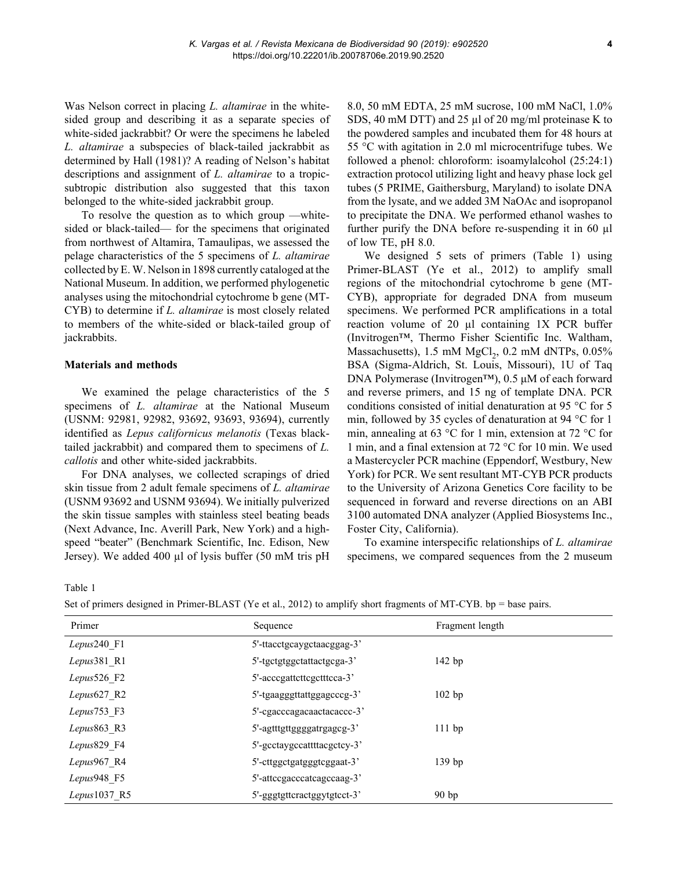Was Nelson correct in placing *L. altamirae* in the whitesided group and describing it as a separate species of white-sided jackrabbit? Or were the specimens he labeled *L. altamirae* a subspecies of black-tailed jackrabbit as determined by Hall (1981)? A reading of Nelson's habitat descriptions and assignment of *L. altamirae* to a tropicsubtropic distribution also suggested that this taxon belonged to the white-sided jackrabbit group.

To resolve the question as to which group —whitesided or black-tailed— for the specimens that originated from northwest of Altamira, Tamaulipas, we assessed the pelage characteristics of the 5 specimens of *L. altamirae*  collected by E. W. Nelson in 1898 currently cataloged at the National Museum. In addition, we performed phylogenetic analyses using the mitochondrial cytochrome b gene (MT-CYB) to determine if *L. altamirae* is most closely related to members of the white-sided or black-tailed group of jackrabbits.

# **Materials and methods**

We examined the pelage characteristics of the 5 specimens of *L. altamirae* at the National Museum (USNM: 92981, 92982, 93692, 93693, 93694), currently identified as *Lepus californicus melanotis* (Texas blacktailed jackrabbit) and compared them to specimens of *L. callotis* and other white-sided jackrabbits.

For DNA analyses, we collected scrapings of dried skin tissue from 2 adult female specimens of *L. altamirae* (USNM 93692 and USNM 93694). We initially pulverized the skin tissue samples with stainless steel beating beads (Next Advance, Inc. Averill Park, New York) and a highspeed "beater" (Benchmark Scientific, Inc. Edison, New Jersey). We added 400 µl of lysis buffer (50 mM tris pH 8.0, 50 mM EDTA, 25 mM sucrose, 100 mM NaCl, 1.0% SDS, 40 mM DTT) and 25 µl of 20 mg/ml proteinase K to the powdered samples and incubated them for 48 hours at 55 °C with agitation in 2.0 ml microcentrifuge tubes. We followed a phenol: chloroform: isoamylalcohol (25:24:1) extraction protocol utilizing light and heavy phase lock gel tubes (5 PRIME, Gaithersburg, Maryland) to isolate DNA from the lysate, and we added 3M NaOAc and isopropanol to precipitate the DNA. We performed ethanol washes to further purify the DNA before re-suspending it in 60 µl of low TE, pH 8.0.

We designed 5 sets of primers (Table 1) using Primer-BLAST (Ye et al., 2012) to amplify small regions of the mitochondrial cytochrome b gene (MT-CYB), appropriate for degraded DNA from museum specimens. We performed PCR amplifications in a total reaction volume of 20 µl containing 1X PCR buffer (Invitrogen™, Thermo Fisher Scientific Inc. Waltham, Massachusetts),  $1.5 \text{ mM MgCl}_2$ ,  $0.2 \text{ mM dNTPs}$ ,  $0.05\%$ BSA (Sigma-Aldrich, St. Louis, Missouri), 1U of Taq DNA Polymerase (Invitrogen™), 0.5 μM of each forward and reverse primers, and 15 ng of template DNA. PCR conditions consisted of initial denaturation at 95 °C for 5 min, followed by 35 cycles of denaturation at 94 °C for 1 min, annealing at 63 °C for 1 min, extension at 72 °C for 1 min, and a final extension at 72 °C for 10 min. We used a Mastercycler PCR machine (Eppendorf, Westbury, New York) for PCR. We sent resultant MT-CYB PCR products to the University of Arizona Genetics Core facility to be sequenced in forward and reverse directions on an ABI 3100 automated DNA analyzer (Applied Biosystems Inc., Foster City, California).

To examine interspecific relationships of *L. altamirae*  specimens, we compared sequences from the 2 museum

Table 1

| Primer         | Sequence                    | Fragment length  |
|----------------|-----------------------------|------------------|
| $Lepus240$ F1  | 5'-ttacctgcaygctaacggag-3'  |                  |
| $Lepus381$ R1  | 5'-tgctgtggctattactgcga-3'  | 142 bp           |
| Lepus 526 $F2$ | 5'-acccgattcttcgctttcca-3'  |                  |
| Lepus $627$ R2 | 5'-tgaagggttattggagcccg-3'  | $102$ bp         |
| Lepus $753$ F3 | 5'-cgacccagacaactacaccc-3'  |                  |
| Lepus863 R3    | 5'-agtttgttggggatrgagcg-3'  | $111$ bp         |
| Lepus829 F4    | 5'-gcctaygccattttacgctcy-3' |                  |
| Lepus967 R4    | 5'-cttggctgatgggtcggaat-3'  | 139 bp           |
| Lepus948 F5    | 5'-attccgacccatcagccaag-3'  |                  |
| $Lepus1037$ R5 | 5'-gggtgttcractggytgtcct-3' | 90 <sub>bp</sub> |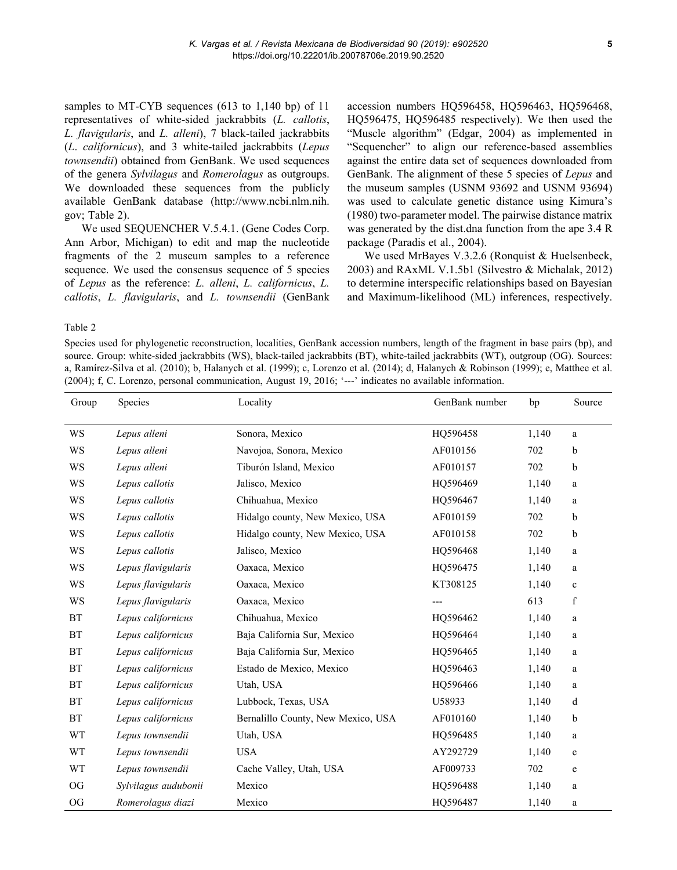samples to MT-CYB sequences (613 to 1,140 bp) of 11 representatives of white-sided jackrabbits (*L. callotis*, *L. flavigularis*, and *L. alleni*), 7 black-tailed jackrabbits (*L*. *californicus*), and 3 white-tailed jackrabbits (*Lepus townsendii*) obtained from GenBank. We used sequences of the genera *Sylvilagus* and *Romerolagus* as outgroups. We downloaded these sequences from the publicly available GenBank database (http://www.ncbi.nlm.nih. gov; Table 2).

We used SEQUENCHER V.5.4.1. (Gene Codes Corp. Ann Arbor, Michigan) to edit and map the nucleotide fragments of the 2 museum samples to a reference sequence. We used the consensus sequence of 5 species of *Lepus* as the reference: *L. alleni*, *L. californicus*, *L. callotis*, *L. flavigularis*, and *L. townsendii* (GenBank

accession numbers HQ596458, HQ596463, HQ596468, HQ596475, HQ596485 respectively). We then used the "Muscle algorithm" (Edgar, 2004) as implemented in "Sequencher" to align our reference-based assemblies against the entire data set of sequences downloaded from GenBank. The alignment of these 5 species of *Lepus* and the museum samples (USNM 93692 and USNM 93694) was used to calculate genetic distance using Kimura's (1980) two-parameter model. The pairwise distance matrix was generated by the dist.dna function from the ape 3.4 R package (Paradis et al., 2004).

We used MrBayes V.3.2.6 (Ronquist & Huelsenbeck, 2003) and RAxML V.1.5b1 (Silvestro & Michalak, 2012) to determine interspecific relationships based on Bayesian and Maximum-likelihood (ML) inferences, respectively.

#### Table 2

Species used for phylogenetic reconstruction, localities, GenBank accession numbers, length of the fragment in base pairs (bp), and source. Group: white-sided jackrabbits (WS), black-tailed jackrabbits (BT), white-tailed jackrabbits (WT), outgroup (OG). Sources: a, Ramírez-Silva et al. (2010); b, Halanych et al. (1999); c, Lorenzo et al. (2014); d, Halanych & Robinson (1999); e, Matthee et al. (2004); f, C. Lorenzo, personal communication, August 19, 2016; '---' indicates no available information.

| Group     | Species              | GenBank number<br>Locality          |          | bp    | Source      |
|-----------|----------------------|-------------------------------------|----------|-------|-------------|
| WS        | Lepus alleni         | Sonora, Mexico<br>HQ596458          |          | 1,140 | a           |
| WS        | Lepus alleni         | Navojoa, Sonora, Mexico<br>AF010156 |          | 702   | b           |
| WS        | Lepus alleni         | Tiburón Island, Mexico              | AF010157 |       | b           |
| WS        | Lepus callotis       | Jalisco, Mexico                     | HO596469 | 1,140 | a           |
| WS        | Lepus callotis       | Chihuahua, Mexico                   | HO596467 |       | a           |
| WS        | Lepus callotis       | Hidalgo county, New Mexico, USA     | AF010159 | 702   | b           |
| WS        | Lepus callotis       | Hidalgo county, New Mexico, USA     | AF010158 | 702   | b           |
| WS        | Lepus callotis       | Jalisco, Mexico                     | HO596468 | 1,140 | a           |
| WS        | Lepus flavigularis   | Oaxaca, Mexico                      | HQ596475 | 1,140 | a           |
| WS        | Lepus flavigularis   | Oaxaca, Mexico                      | KT308125 | 1,140 | $\mathbf c$ |
| WS        | Lepus flavigularis   | Oaxaca, Mexico                      | ---      | 613   | f           |
| <b>BT</b> | Lepus californicus   | Chihuahua, Mexico                   | HQ596462 | 1,140 | a           |
| <b>BT</b> | Lepus californicus   | Baja California Sur, Mexico         | HQ596464 | 1,140 | a           |
| <b>BT</b> | Lepus californicus   | Baja California Sur, Mexico         | HQ596465 | 1,140 | a           |
| <b>BT</b> | Lepus californicus   | Estado de Mexico, Mexico            | HQ596463 | 1,140 | a           |
| <b>BT</b> | Lepus californicus   | Utah, USA                           | HQ596466 | 1,140 | a           |
| <b>BT</b> | Lepus californicus   | Lubbock, Texas, USA                 | U58933   | 1,140 | d           |
| <b>BT</b> | Lepus californicus   | Bernalillo County, New Mexico, USA  | AF010160 | 1,140 | b           |
| <b>WT</b> | Lepus townsendii     | Utah, USA                           | HO596485 | 1,140 | a           |
| <b>WT</b> | Lepus townsendii     | <b>USA</b>                          | AY292729 | 1,140 | e           |
| <b>WT</b> | Lepus townsendii     | Cache Valley, Utah, USA             | AF009733 | 702   | e           |
| <b>OG</b> | Sylvilagus audubonii | Mexico                              | HO596488 | 1,140 | a           |
| $\rm OG$  | Romerolagus diazi    | Mexico                              | HQ596487 | 1,140 | a           |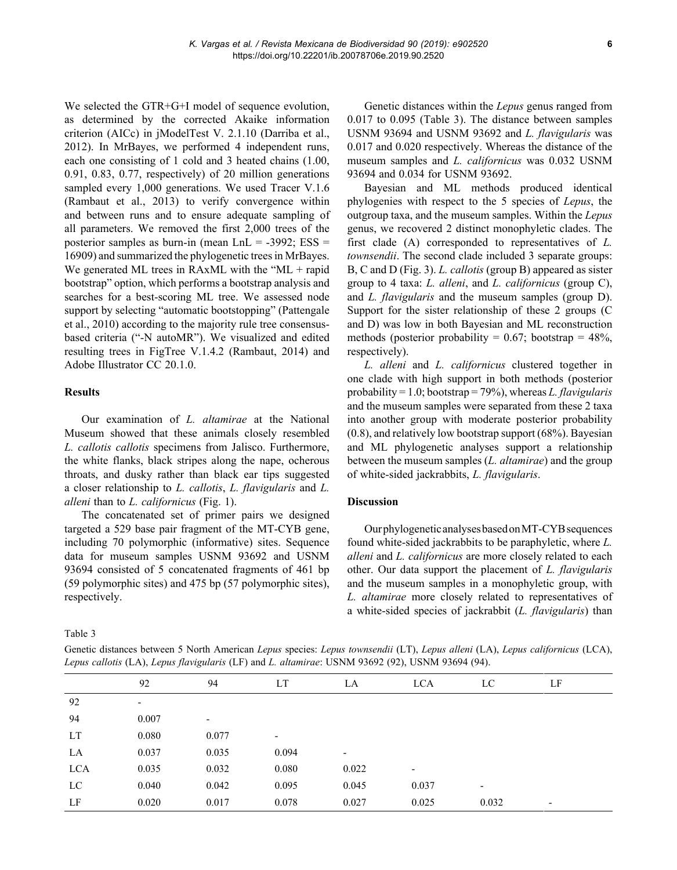We selected the GTR+G+I model of sequence evolution, as determined by the corrected Akaike information criterion (AICc) in jModelTest V. 2.1.10 (Darriba et al., 2012). In MrBayes, we performed 4 independent runs, each one consisting of 1 cold and 3 heated chains (1.00, 0.91, 0.83, 0.77, respectively) of 20 million generations sampled every 1,000 generations. We used Tracer V.1.6 (Rambaut et al., 2013) to verify convergence within and between runs and to ensure adequate sampling of all parameters. We removed the first 2,000 trees of the posterior samples as burn-in (mean  $LnL = -3992$ ;  $ESS =$ 16909) and summarized the phylogenetic trees in MrBayes. We generated ML trees in RAxML with the "ML + rapid bootstrap" option, which performs a bootstrap analysis and searches for a best-scoring ML tree. We assessed node support by selecting "automatic bootstopping" (Pattengale et al., 2010) according to the majority rule tree consensusbased criteria ("-N autoMR"). We visualized and edited resulting trees in FigTree V.1.4.2 (Rambaut, 2014) and Adobe Illustrator CC 20.1.0.

# **Results**

Our examination of *L. altamirae* at the National Museum showed that these animals closely resembled *L. callotis callotis* specimens from Jalisco. Furthermore, the white flanks, black stripes along the nape, ocherous throats, and dusky rather than black ear tips suggested a closer relationship to *L. callotis*, *L. flavigularis* and *L. alleni* than to *L. californicus* (Fig. 1).

The concatenated set of primer pairs we designed targeted a 529 base pair fragment of the MT-CYB gene, including 70 polymorphic (informative) sites. Sequence data for museum samples USNM 93692 and USNM 93694 consisted of 5 concatenated fragments of 461 bp (59 polymorphic sites) and 475 bp (57 polymorphic sites), respectively.

Table 3

Genetic distances between 5 North American *Lepus* species: *Lepus townsendii* (LT), *Lepus alleni* (LA), *Lepus californicus* (LCA), *Lepus callotis* (LA), *Lepus flavigularis* (LF) and *L. altamirae*: USNM 93692 (92), USNM 93694 (94).

|     | 92                       | 94                       | LT                       | LA    | <b>LCA</b>               | LC                       | LF                       |
|-----|--------------------------|--------------------------|--------------------------|-------|--------------------------|--------------------------|--------------------------|
| 92  | $\overline{\phantom{a}}$ |                          |                          |       |                          |                          |                          |
| 94  | 0.007                    | $\overline{\phantom{a}}$ |                          |       |                          |                          |                          |
| LT  | 0.080                    | 0.077                    | $\overline{\phantom{a}}$ |       |                          |                          |                          |
| LA  | 0.037                    | 0.035                    | 0.094                    | ٠     |                          |                          |                          |
| LCA | 0.035                    | 0.032                    | 0.080                    | 0.022 | $\overline{\phantom{a}}$ |                          |                          |
| LC  | 0.040                    | 0.042                    | 0.095                    | 0.045 | 0.037                    | $\overline{\phantom{a}}$ |                          |
| LF  | 0.020                    | 0.017                    | 0.078                    | 0.027 | 0.025                    | 0.032                    | $\overline{\phantom{a}}$ |

Genetic distances within the *Lepus* genus ranged from 0.017 to 0.095 (Table 3). The distance between samples USNM 93694 and USNM 93692 and *L. flavigularis* was 0.017 and 0.020 respectively. Whereas the distance of the museum samples and *L. californicus* was 0.032 USNM 93694 and 0.034 for USNM 93692.

Bayesian and ML methods produced identical phylogenies with respect to the 5 species of *Lepus*, the outgroup taxa, and the museum samples. Within the *Lepus* genus, we recovered 2 distinct monophyletic clades. The first clade (A) corresponded to representatives of *L. townsendii*. The second clade included 3 separate groups: B, C and D (Fig. 3). *L. callotis* (group B) appeared as sister group to 4 taxa: *L. alleni*, and *L. californicus* (group C), and *L. flavigularis* and the museum samples (group D). Support for the sister relationship of these 2 groups (C and D) was low in both Bayesian and ML reconstruction methods (posterior probability =  $0.67$ ; bootstrap =  $48\%$ , respectively).

*L. alleni* and *L. californicus* clustered together in one clade with high support in both methods (posterior probability = 1.0; bootstrap = 79%), whereas *L. flavigularis* and the museum samples were separated from these 2 taxa into another group with moderate posterior probability (0.8), and relatively low bootstrap support (68%). Bayesian and ML phylogenetic analyses support a relationship between the museum samples (*L. altamirae*) and the group of white-sided jackrabbits, *L. flavigularis*.

# **Discussion**

Our phylogenetic analyses based on MT-CYB sequences found white-sided jackrabbits to be paraphyletic, where *L. alleni* and *L. californicus* are more closely related to each other. Our data support the placement of *L. flavigularis* and the museum samples in a monophyletic group, with *L. altamirae* more closely related to representatives of a white-sided species of jackrabbit (*L. flavigularis*) than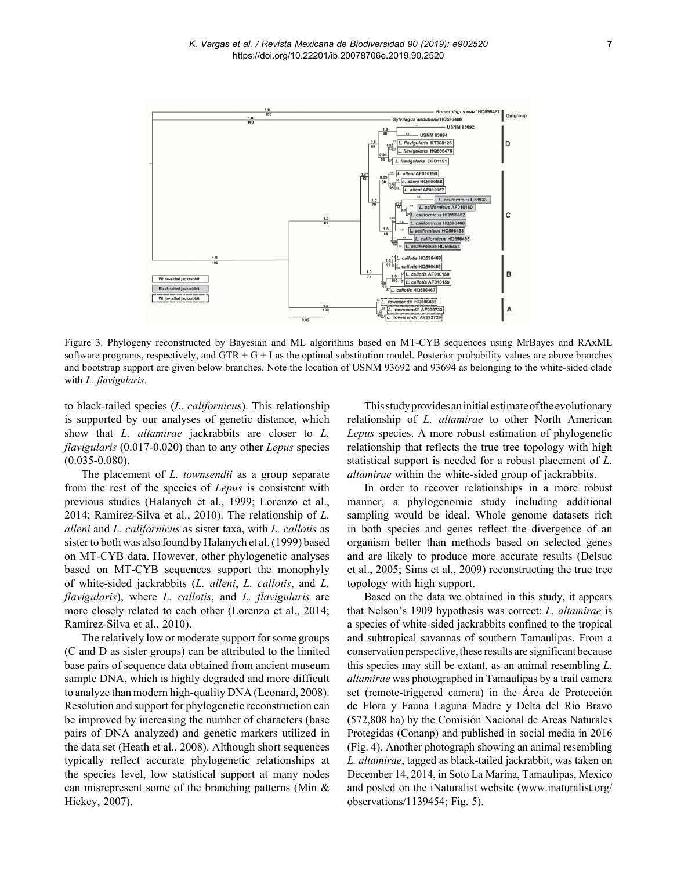

Figure 3. Phylogeny reconstructed by Bayesian and ML algorithms based on MT-CYB sequences using MrBayes and RAxML software programs, respectively, and  $GTR + G + I$  as the optimal substitution model. Posterior probability values are above branches and bootstrap support are given below branches. Note the location of USNM 93692 and 93694 as belonging to the white-sided clade with *L. flavigularis*.

to black-tailed species (*L*. *californicus*). This relationship is supported by our analyses of genetic distance, which show that *L. altamirae* jackrabbits are closer to *L. flavigularis* (0.017-0.020) than to any other *Lepus* species  $(0.035 - 0.080)$ .

The placement of *L. townsendii* as a group separate from the rest of the species of *Lepus* is consistent with previous studies (Halanych et al., 1999; Lorenzo et al., 2014; Ramírez-Silva et al., 2010). The relationship of *L. alleni* and *L*. *californicus* as sister taxa, with *L. callotis* as sister to both was also found by Halanych et al. (1999) based on MT-CYB data. However, other phylogenetic analyses based on MT-CYB sequences support the monophyly of white-sided jackrabbits (*L. alleni*, *L. callotis*, and *L. flavigularis*), where *L. callotis*, and *L. flavigularis* are more closely related to each other (Lorenzo et al., 2014; Ramírez-Silva et al., 2010).

The relatively low or moderate support for some groups (C and D as sister groups) can be attributed to the limited base pairs of sequence data obtained from ancient museum sample DNA, which is highly degraded and more difficult to analyze than modern high-quality DNA (Leonard, 2008). Resolution and support for phylogenetic reconstruction can be improved by increasing the number of characters (base pairs of DNA analyzed) and genetic markers utilized in the data set (Heath et al., 2008). Although short sequences typically reflect accurate phylogenetic relationships at the species level, low statistical support at many nodes can misrepresent some of the branching patterns (Min & Hickey, 2007).

This study provides an initial estimate of the evolutionary relationship of *L. altamirae* to other North American *Lepus* species. A more robust estimation of phylogenetic relationship that reflects the true tree topology with high statistical support is needed for a robust placement of *L. altamirae* within the white-sided group of jackrabbits.

In order to recover relationships in a more robust manner, a phylogenomic study including additional sampling would be ideal. Whole genome datasets rich in both species and genes reflect the divergence of an organism better than methods based on selected genes and are likely to produce more accurate results (Delsuc et al., 2005; Sims et al., 2009) reconstructing the true tree topology with high support.

Based on the data we obtained in this study, it appears that Nelson's 1909 hypothesis was correct: *L. altamirae* is a species of white-sided jackrabbits confined to the tropical and subtropical savannas of southern Tamaulipas. From a conservation perspective, these results are significant because this species may still be extant, as an animal resembling *L. altamirae* was photographed in Tamaulipas by a trail camera set (remote-triggered camera) in the Área de Protección de Flora y Fauna Laguna Madre y Delta del Río Bravo (572,808 ha) by the Comisión Nacional de Areas Naturales Protegidas (Conanp) and published in social media in 2016 (Fig. 4). Another photograph showing an animal resembling *L. altamirae*, tagged as black-tailed jackrabbit, was taken on December 14, 2014, in Soto La Marina, Tamaulipas, Mexico and posted on the iNaturalist website (www.inaturalist.org/ observations/1139454; Fig. 5).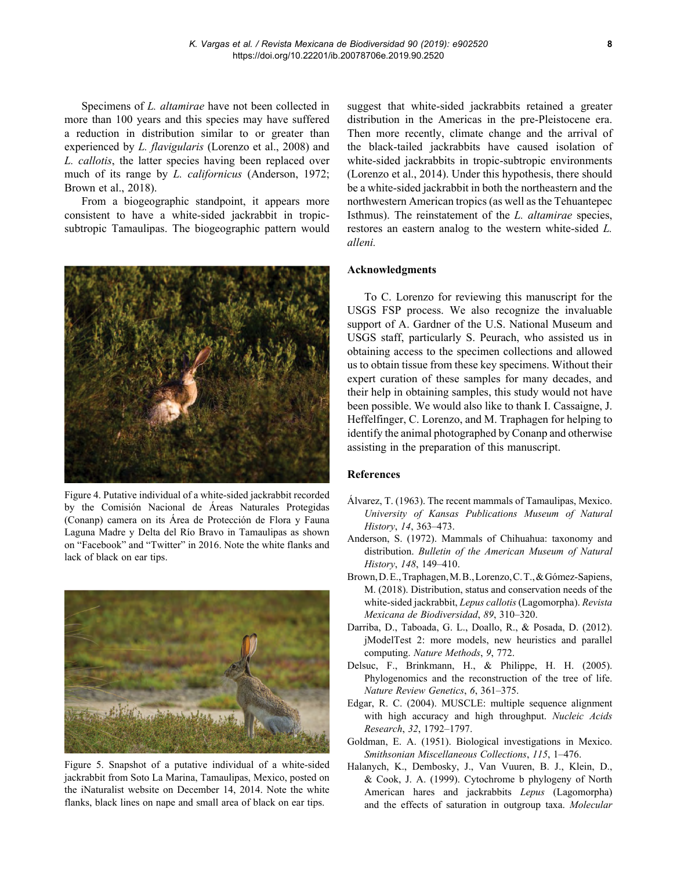Specimens of *L. altamirae* have not been collected in more than 100 years and this species may have suffered a reduction in distribution similar to or greater than experienced by *L. flavigularis* (Lorenzo et al., 2008) and *L. callotis*, the latter species having been replaced over much of its range by *L. californicus* (Anderson, 1972; Brown et al., 2018).

From a biogeographic standpoint, it appears more consistent to have a white-sided jackrabbit in tropicsubtropic Tamaulipas. The biogeographic pattern would



Figure 4. Putative individual of a white-sided jackrabbit recorded by the Comisión Nacional de Áreas Naturales Protegidas (Conanp) camera on its Área de Protección de Flora y Fauna Laguna Madre y Delta del Río Bravo in Tamaulipas as shown on "Facebook" and "Twitter" in 2016. Note the white flanks and lack of black on ear tips.



Figure 5. Snapshot of a putative individual of a white-sided jackrabbit from Soto La Marina, Tamaulipas, Mexico, posted on the iNaturalist website on December 14, 2014. Note the white flanks, black lines on nape and small area of black on ear tips.

suggest that white-sided jackrabbits retained a greater distribution in the Americas in the pre-Pleistocene era. Then more recently, climate change and the arrival of the black-tailed jackrabbits have caused isolation of white-sided jackrabbits in tropic-subtropic environments (Lorenzo et al., 2014). Under this hypothesis, there should be a white-sided jackrabbit in both the northeastern and the northwestern American tropics (as well as the Tehuantepec Isthmus). The reinstatement of the *L. altamirae* species, restores an eastern analog to the western white-sided *L. alleni.*

# **Acknowledgments**

To C. Lorenzo for reviewing this manuscript for the USGS FSP process. We also recognize the invaluable support of A. Gardner of the U.S. National Museum and USGS staff, particularly S. Peurach, who assisted us in obtaining access to the specimen collections and allowed us to obtain tissue from these key specimens. Without their expert curation of these samples for many decades, and their help in obtaining samples, this study would not have been possible. We would also like to thank I. Cassaigne, J. Heffelfinger, C. Lorenzo, and M. Traphagen for helping to identify the animal photographed by Conanp and otherwise assisting in the preparation of this manuscript.

## **References**

- Álvarez, T. (1963). The recent mammals of Tamaulipas, Mexico. *University of Kansas Publications Museum of Natural History*, *14*, 363–473.
- Anderson, S. (1972). Mammals of Chihuahua: taxonomy and distribution. *Bulletin of the American Museum of Natural History*, *148*, 149–410.
- Brown, D. E., Traphagen, M. B., Lorenzo, C. T., & Gómez-Sapiens, M. (2018). Distribution, status and conservation needs of the white-sided jackrabbit, *Lepus callotis* (Lagomorpha). *Revista Mexicana de Biodiversidad*, *89*, 310–320.
- Darriba, D., Taboada, G. L., Doallo, R., & Posada, D. (2012). jModelTest 2: more models, new heuristics and parallel computing. *Nature Methods*, *9*, 772.
- Delsuc, F., Brinkmann, H., & Philippe, H. H. (2005). Phylogenomics and the reconstruction of the tree of life. *Nature Review Genetics*, *6*, 361–375.
- Edgar, R. C. (2004). MUSCLE: multiple sequence alignment with high accuracy and high throughput. *Nucleic Acids Research*, *32*, 1792–1797.
- Goldman, E. A. (1951). Biological investigations in Mexico. *Smithsonian Miscellaneous Collections*, *115*, 1–476.
- Halanych, K., Dembosky, J., Van Vuuren, B. J., Klein, D., & Cook, J. A. (1999). Cytochrome b phylogeny of North American hares and jackrabbits *Lepus* (Lagomorpha) and the effects of saturation in outgroup taxa. *Molecular*